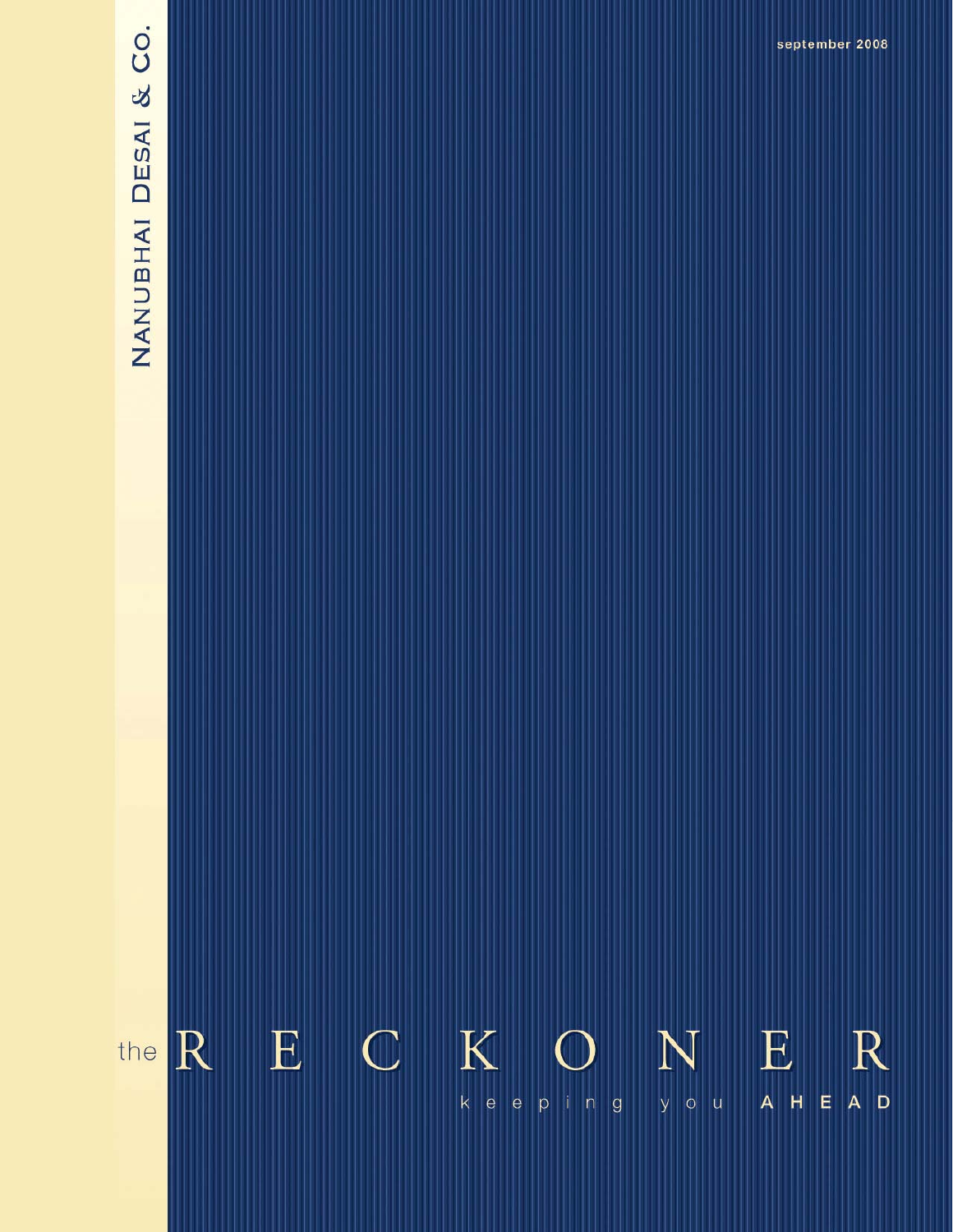# NANUBHAI DESAI & CO.

 $K$  $E$  $\mathbb{C}$  $E$ the R N  $\mathbb{R}$ Ш A H E A D k e e p i n g  $y$  o  $u$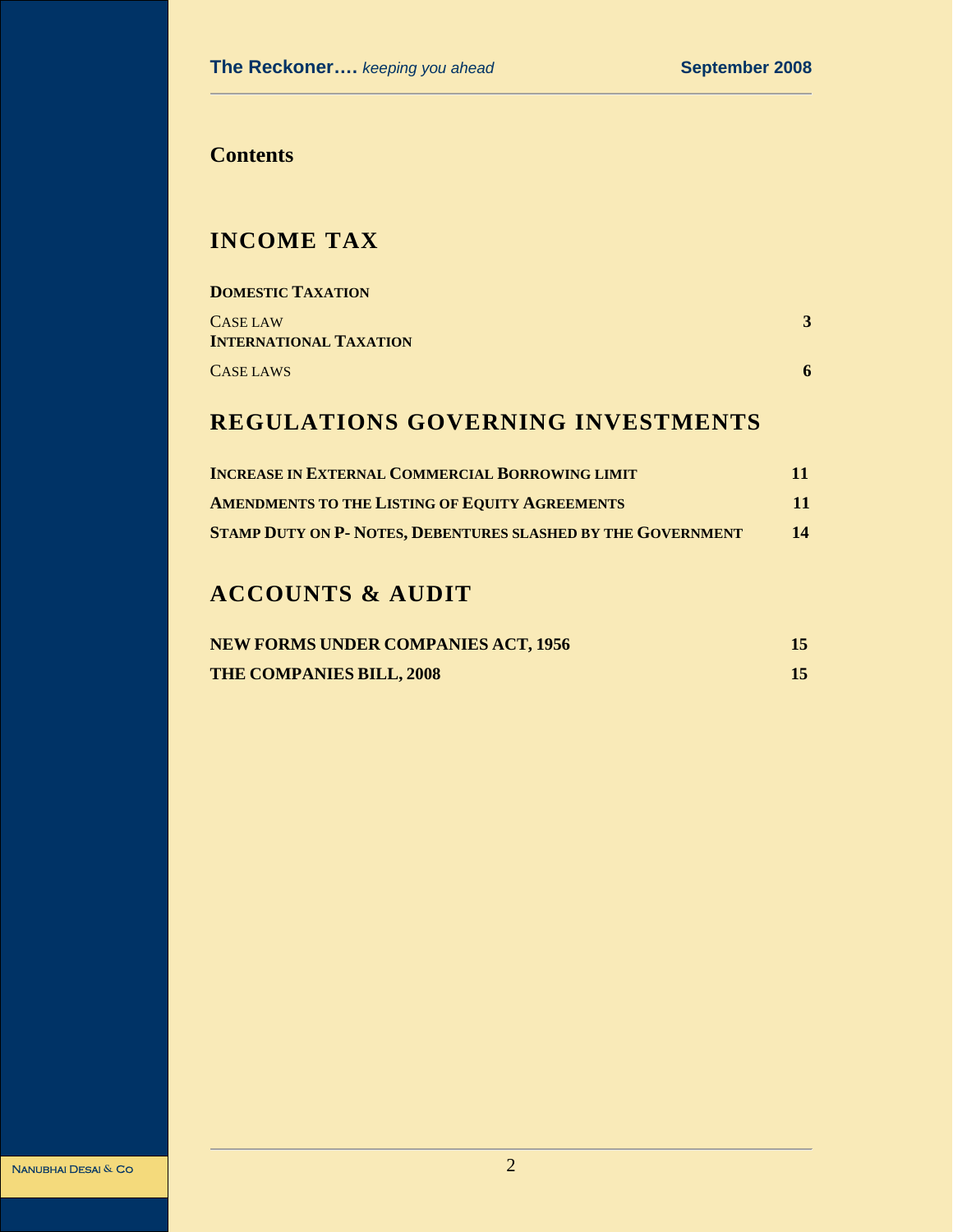# **Contents**

# **INCOME TAX**

| <b>DOMESTIC TAXATION</b>                  |   |
|-------------------------------------------|---|
| CASE LAW<br><b>INTERNATIONAL TAXATION</b> |   |
|                                           |   |
| CASE LAWS                                 | 6 |

# **REGULATIONS GOVERNING INVESTMENTS**

| <b>INCREASE IN EXTERNAL COMMERCIAL BORROWING LIMIT</b>              | 11 |
|---------------------------------------------------------------------|----|
| <b>AMENDMENTS TO THE LISTING OF EQUITY AGREEMENTS</b>               | 11 |
| <b>STAMP DUTY ON P- NOTES, DEBENTURES SLASHED BY THE GOVERNMENT</b> | 14 |

# **ACCOUNTS & AUDIT**

| <b>NEW FORMS UNDER COMPANIES ACT, 1956</b> |  |
|--------------------------------------------|--|
| <b>THE COMPANIES BILL, 2008</b>            |  |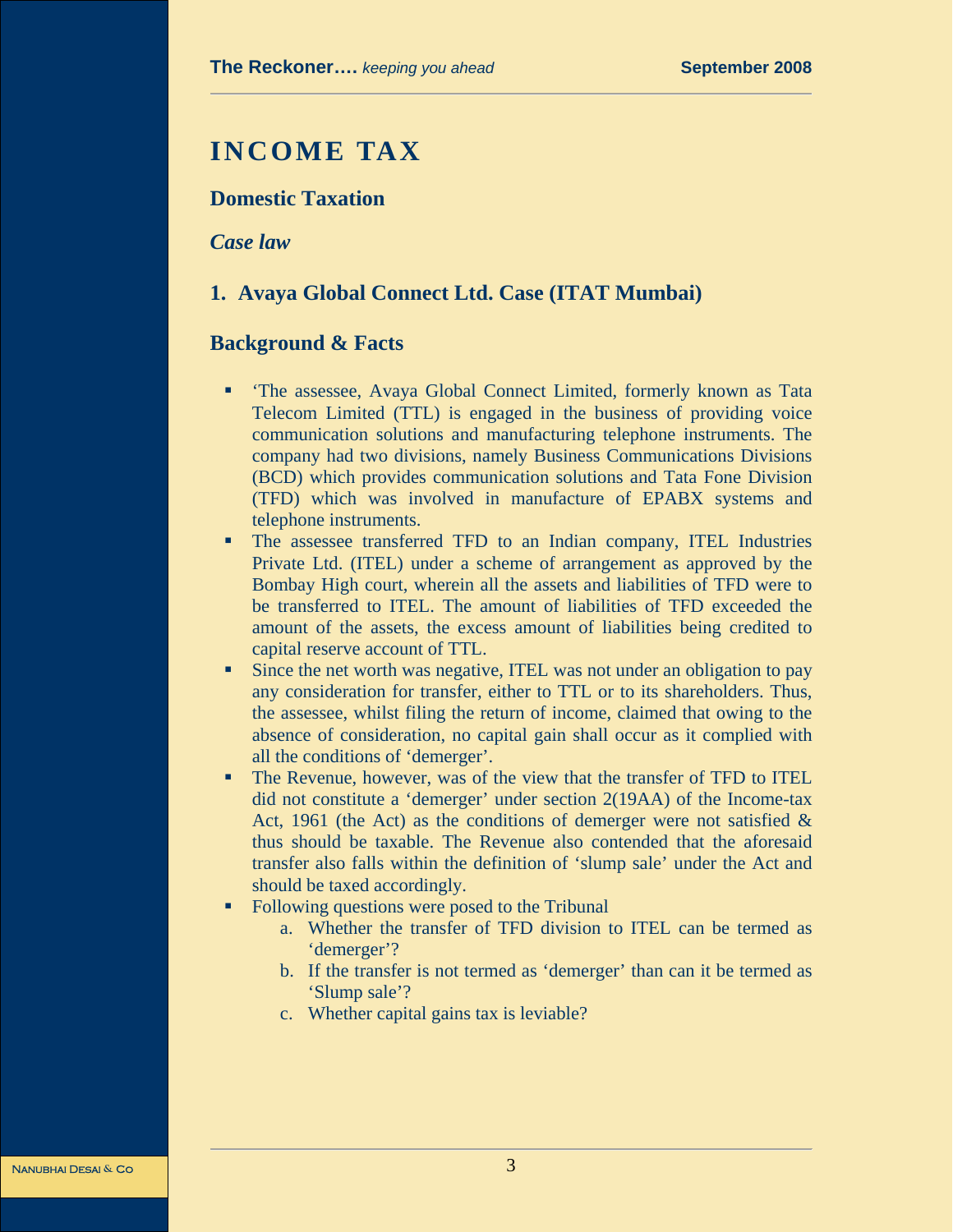# **INCOME TAX**

# **Domestic Taxation**

*Case law* 

### **1. Avaya Global Connect Ltd. Case (ITAT Mumbai)**

#### **Background & Facts**

- 'The assessee, Avaya Global Connect Limited, formerly known as Tata Telecom Limited (TTL) is engaged in the business of providing voice communication solutions and manufacturing telephone instruments. The company had two divisions, namely Business Communications Divisions (BCD) which provides communication solutions and Tata Fone Division (TFD) which was involved in manufacture of EPABX systems and telephone instruments.
- The assessee transferred TFD to an Indian company, ITEL Industries Private Ltd. (ITEL) under a scheme of arrangement as approved by the Bombay High court, wherein all the assets and liabilities of TFD were to be transferred to ITEL. The amount of liabilities of TFD exceeded the amount of the assets, the excess amount of liabilities being credited to capital reserve account of TTL.
- Since the net worth was negative, ITEL was not under an obligation to pay any consideration for transfer, either to TTL or to its shareholders. Thus, the assessee, whilst filing the return of income, claimed that owing to the absence of consideration, no capital gain shall occur as it complied with all the conditions of 'demerger'.
- The Revenue, however, was of the view that the transfer of TFD to ITEL did not constitute a 'demerger' under section 2(19AA) of the Income-tax Act, 1961 (the Act) as the conditions of demerger were not satisfied  $\&$ thus should be taxable. The Revenue also contended that the aforesaid transfer also falls within the definition of 'slump sale' under the Act and should be taxed accordingly.
- Following questions were posed to the Tribunal
	- a. Whether the transfer of TFD division to ITEL can be termed as 'demerger'?
	- b. If the transfer is not termed as 'demerger' than can it be termed as 'Slump sale'?
	- c. Whether capital gains tax is leviable?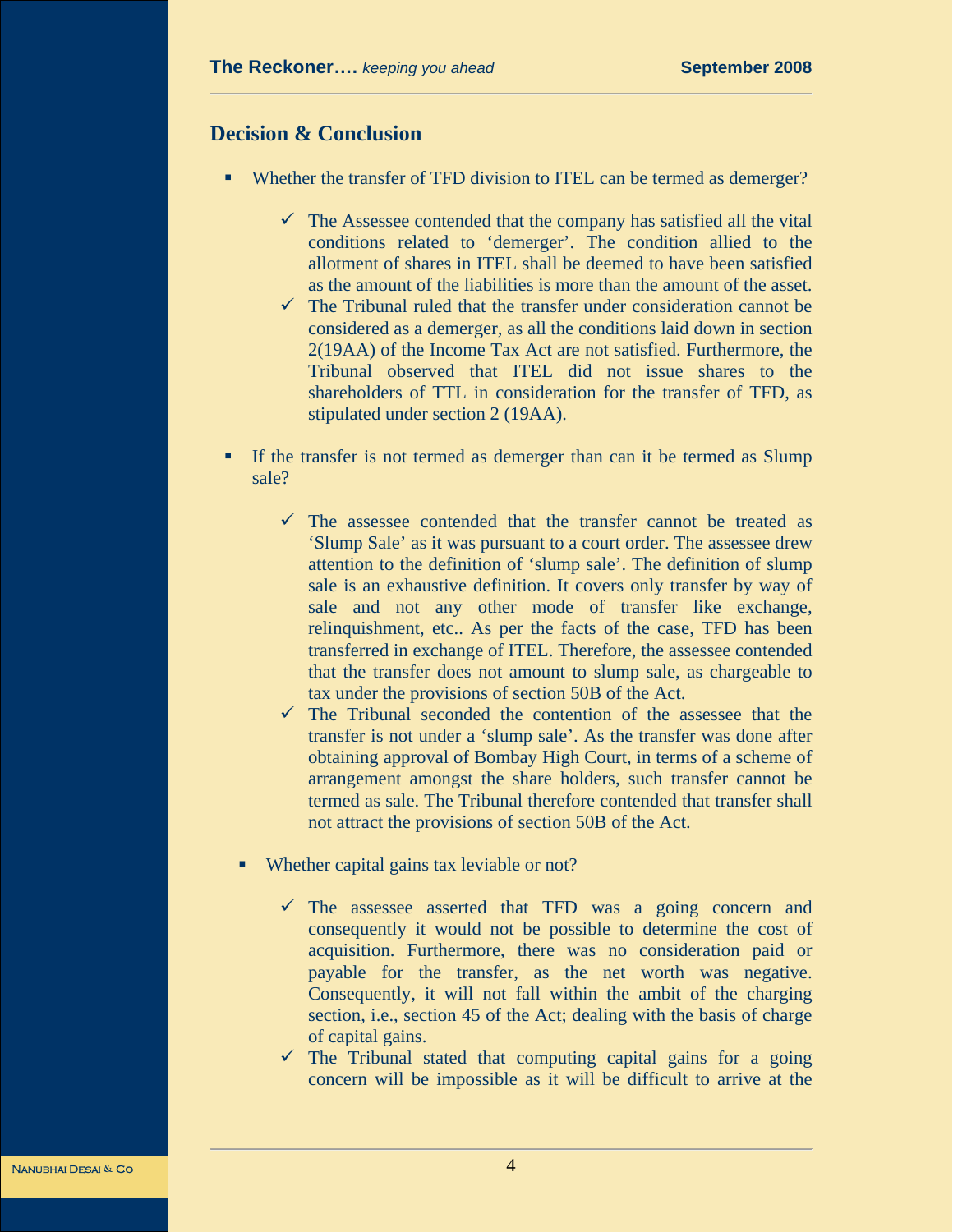## **Decision & Conclusion**

- Whether the transfer of TFD division to ITEL can be termed as demerger?
	- $\checkmark$  The Assessee contended that the company has satisfied all the vital conditions related to 'demerger'. The condition allied to the allotment of shares in ITEL shall be deemed to have been satisfied as the amount of the liabilities is more than the amount of the asset.
	- $\checkmark$  The Tribunal ruled that the transfer under consideration cannot be considered as a demerger, as all the conditions laid down in section 2(19AA) of the Income Tax Act are not satisfied. Furthermore, the Tribunal observed that ITEL did not issue shares to the shareholders of TTL in consideration for the transfer of TFD, as stipulated under section 2 (19AA).
- If the transfer is not termed as demerger than can it be termed as Slump sale?
	- $\checkmark$  The assessee contended that the transfer cannot be treated as 'Slump Sale' as it was pursuant to a court order. The assessee drew attention to the definition of 'slump sale'. The definition of slump sale is an exhaustive definition. It covers only transfer by way of sale and not any other mode of transfer like exchange, relinquishment, etc.. As per the facts of the case, TFD has been transferred in exchange of ITEL. Therefore, the assessee contended that the transfer does not amount to slump sale, as chargeable to tax under the provisions of section 50B of the Act.
	- $\checkmark$  The Tribunal seconded the contention of the assessee that the transfer is not under a 'slump sale'. As the transfer was done after obtaining approval of Bombay High Court, in terms of a scheme of arrangement amongst the share holders, such transfer cannot be termed as sale. The Tribunal therefore contended that transfer shall not attract the provisions of section 50B of the Act.
	- Whether capital gains tax leviable or not?
		- $\checkmark$  The assessee asserted that TFD was a going concern and consequently it would not be possible to determine the cost of acquisition. Furthermore, there was no consideration paid or payable for the transfer, as the net worth was negative. Consequently, it will not fall within the ambit of the charging section, i.e., section 45 of the Act; dealing with the basis of charge of capital gains.
		- $\checkmark$  The Tribunal stated that computing capital gains for a going concern will be impossible as it will be difficult to arrive at the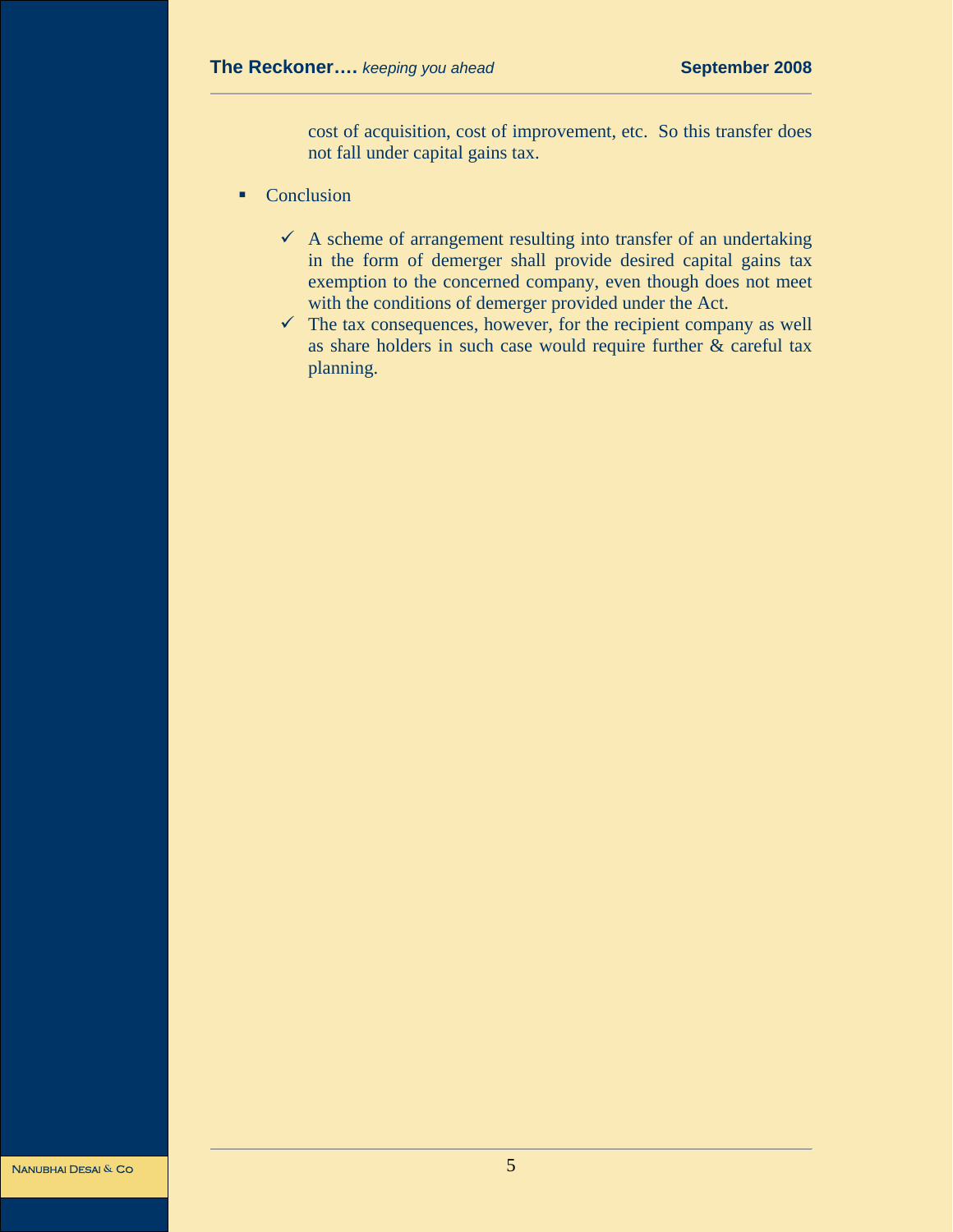cost of acquisition, cost of improvement, etc. So this transfer does not fall under capital gains tax.

- Conclusion
	- $\checkmark$  A scheme of arrangement resulting into transfer of an undertaking in the form of demerger shall provide desired capital gains tax exemption to the concerned company, even though does not meet with the conditions of demerger provided under the Act.
	- $\checkmark$  The tax consequences, however, for the recipient company as well as share holders in such case would require further & careful tax planning.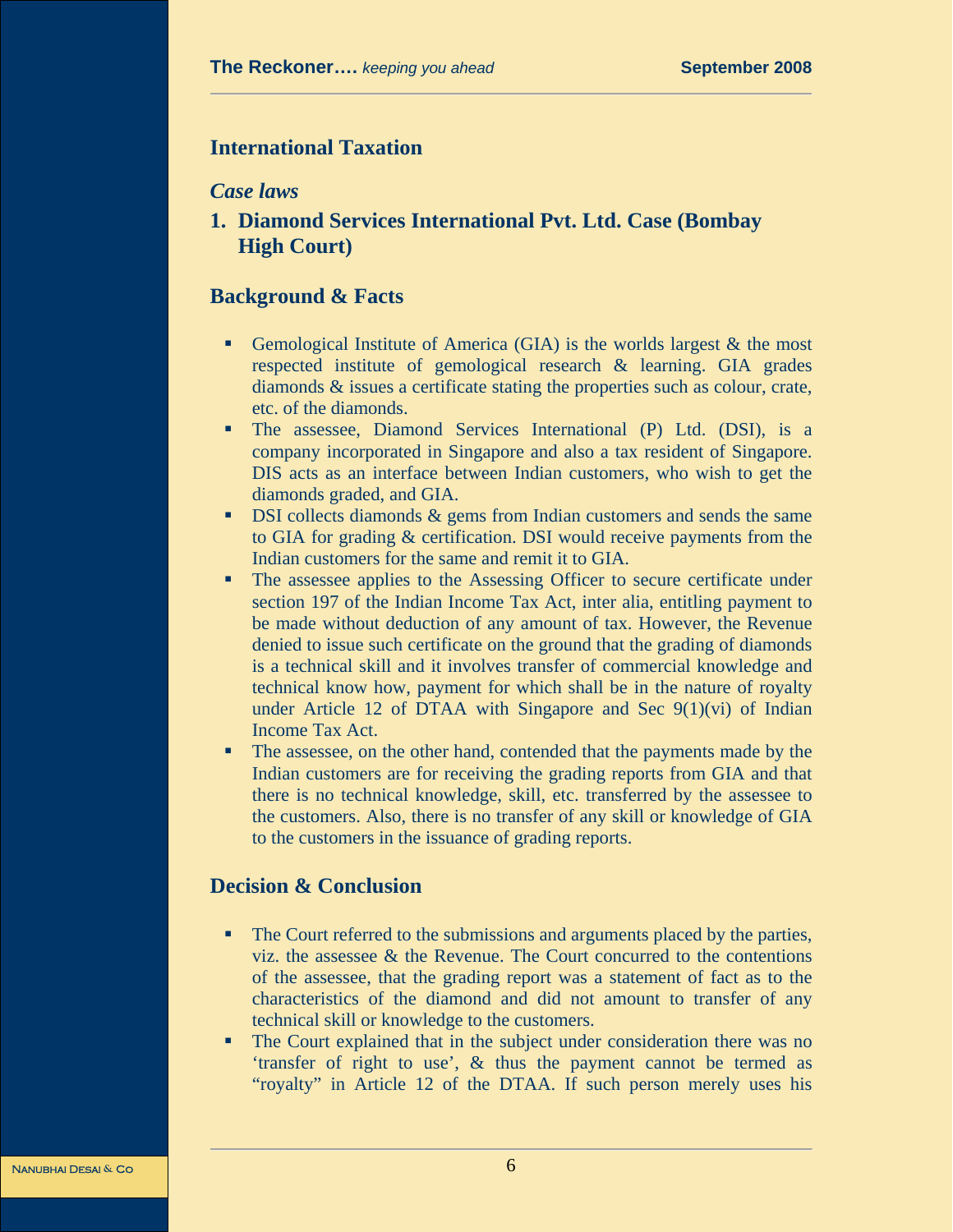# **International Taxation**

#### *Case laws*

**1. Diamond Services International Pvt. Ltd. Case (Bombay High Court)** 

#### **Background & Facts**

- Gemological Institute of America (GIA) is the worlds largest  $\&$  the most respected institute of gemological research & learning. GIA grades diamonds & issues a certificate stating the properties such as colour, crate, etc. of the diamonds.
- The assessee, Diamond Services International (P) Ltd. (DSI), is a company incorporated in Singapore and also a tax resident of Singapore. DIS acts as an interface between Indian customers, who wish to get the diamonds graded, and GIA.
- **DSI** collects diamonds & gems from Indian customers and sends the same to GIA for grading & certification. DSI would receive payments from the Indian customers for the same and remit it to GIA.
- The assessee applies to the Assessing Officer to secure certificate under section 197 of the Indian Income Tax Act, inter alia, entitling payment to be made without deduction of any amount of tax. However, the Revenue denied to issue such certificate on the ground that the grading of diamonds is a technical skill and it involves transfer of commercial knowledge and technical know how, payment for which shall be in the nature of royalty under Article 12 of DTAA with Singapore and Sec  $9(1)(vi)$  of Indian Income Tax Act.
- The assessee, on the other hand, contended that the payments made by the Indian customers are for receiving the grading reports from GIA and that there is no technical knowledge, skill, etc. transferred by the assessee to the customers. Also, there is no transfer of any skill or knowledge of GIA to the customers in the issuance of grading reports.

#### **Decision & Conclusion**

- The Court referred to the submissions and arguments placed by the parties, viz. the assessee & the Revenue. The Court concurred to the contentions of the assessee, that the grading report was a statement of fact as to the characteristics of the diamond and did not amount to transfer of any technical skill or knowledge to the customers.
- The Court explained that in the subject under consideration there was no 'transfer of right to use', & thus the payment cannot be termed as "royalty" in Article 12 of the DTAA. If such person merely uses his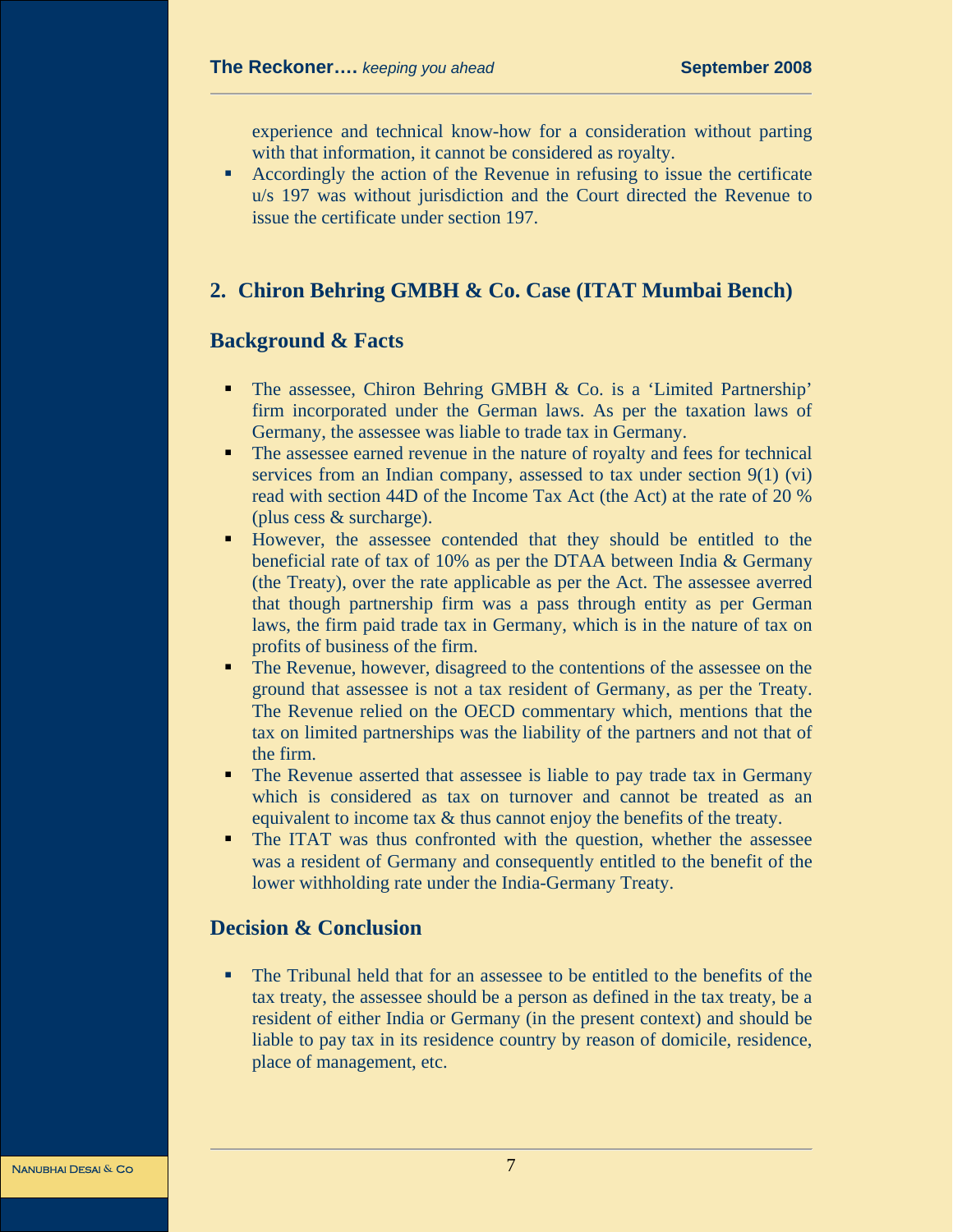experience and technical know-how for a consideration without parting with that information, it cannot be considered as royalty.

 Accordingly the action of the Revenue in refusing to issue the certificate u/s 197 was without jurisdiction and the Court directed the Revenue to issue the certificate under section 197.

# **2. Chiron Behring GMBH & Co. Case (ITAT Mumbai Bench)**

#### **Background & Facts**

- The assessee, Chiron Behring GMBH & Co. is a 'Limited Partnership' firm incorporated under the German laws. As per the taxation laws of Germany, the assessee was liable to trade tax in Germany.
- The assessee earned revenue in the nature of royalty and fees for technical services from an Indian company, assessed to tax under section 9(1) (vi) read with section 44D of the Income Tax Act (the Act) at the rate of 20 % (plus cess & surcharge).
- However, the assessee contended that they should be entitled to the beneficial rate of tax of 10% as per the DTAA between India & Germany (the Treaty), over the rate applicable as per the Act. The assessee averred that though partnership firm was a pass through entity as per German laws, the firm paid trade tax in Germany, which is in the nature of tax on profits of business of the firm.
- The Revenue, however, disagreed to the contentions of the assessee on the ground that assessee is not a tax resident of Germany, as per the Treaty. The Revenue relied on the OECD commentary which, mentions that the tax on limited partnerships was the liability of the partners and not that of the firm.
- The Revenue asserted that assessee is liable to pay trade tax in Germany which is considered as tax on turnover and cannot be treated as an equivalent to income tax & thus cannot enjoy the benefits of the treaty.
- The ITAT was thus confronted with the question, whether the assessee was a resident of Germany and consequently entitled to the benefit of the lower withholding rate under the India-Germany Treaty.

### **Decision & Conclusion**

 The Tribunal held that for an assessee to be entitled to the benefits of the tax treaty, the assessee should be a person as defined in the tax treaty, be a resident of either India or Germany (in the present context) and should be liable to pay tax in its residence country by reason of domicile, residence, place of management, etc.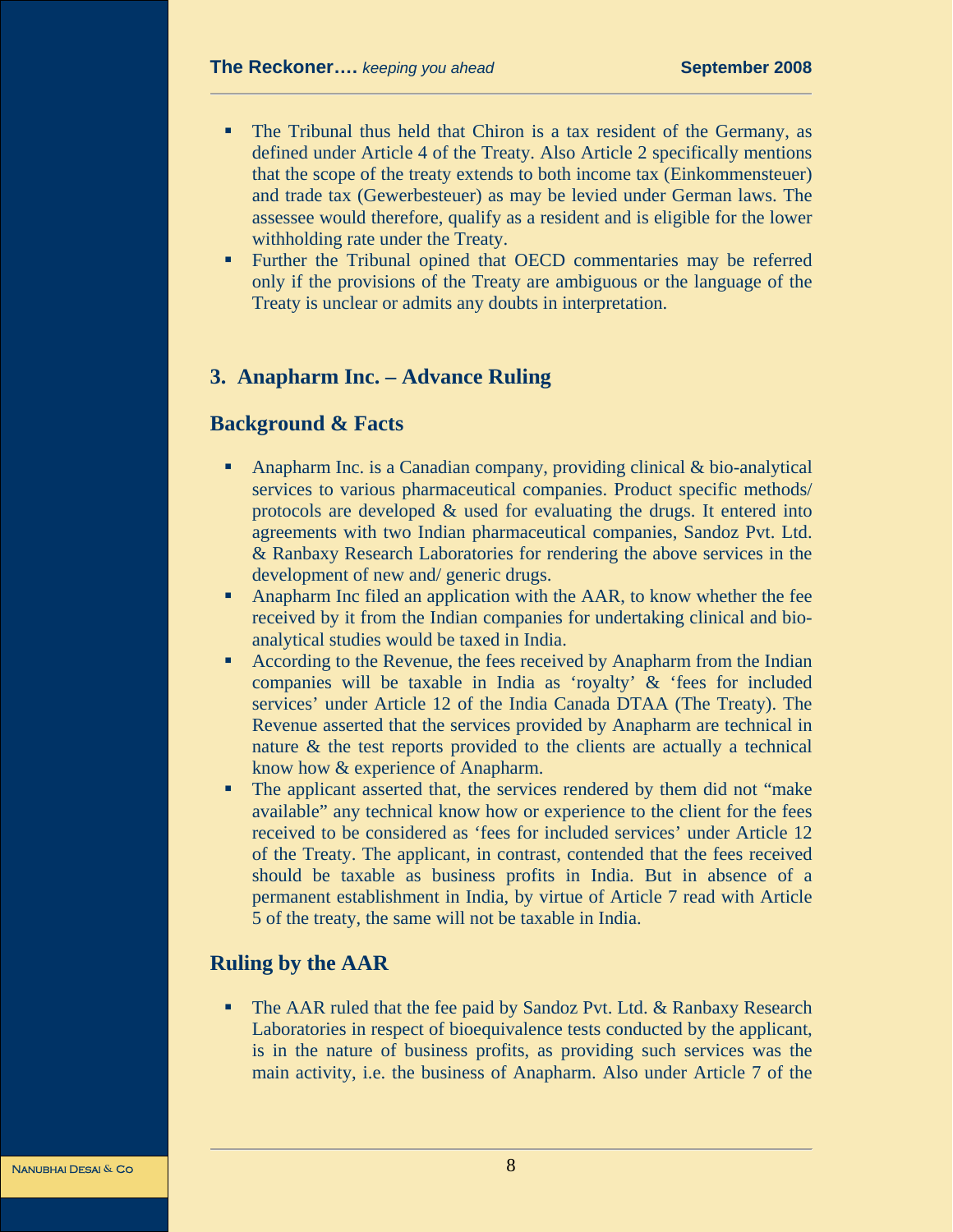- The Tribunal thus held that Chiron is a tax resident of the Germany, as defined under Article 4 of the Treaty. Also Article 2 specifically mentions that the scope of the treaty extends to both income tax (Einkommensteuer) and trade tax (Gewerbesteuer) as may be levied under German laws. The assessee would therefore, qualify as a resident and is eligible for the lower withholding rate under the Treaty.
- Further the Tribunal opined that OECD commentaries may be referred only if the provisions of the Treaty are ambiguous or the language of the Treaty is unclear or admits any doubts in interpretation.

## **3. Anapharm Inc. – Advance Ruling**

#### **Background & Facts**

- Anapharm Inc. is a Canadian company, providing clinical & bio-analytical services to various pharmaceutical companies. Product specific methods/ protocols are developed & used for evaluating the drugs. It entered into agreements with two Indian pharmaceutical companies, Sandoz Pvt. Ltd. & Ranbaxy Research Laboratories for rendering the above services in the development of new and/ generic drugs.
- **Anapharm Inc filed an application with the AAR, to know whether the fee** received by it from the Indian companies for undertaking clinical and bioanalytical studies would be taxed in India.
- According to the Revenue, the fees received by Anapharm from the Indian companies will be taxable in India as 'royalty' & 'fees for included services' under Article 12 of the India Canada DTAA (The Treaty). The Revenue asserted that the services provided by Anapharm are technical in nature & the test reports provided to the clients are actually a technical know how & experience of Anapharm.
- The applicant asserted that, the services rendered by them did not "make available" any technical know how or experience to the client for the fees received to be considered as 'fees for included services' under Article 12 of the Treaty. The applicant, in contrast, contended that the fees received should be taxable as business profits in India. But in absence of a permanent establishment in India, by virtue of Article 7 read with Article 5 of the treaty, the same will not be taxable in India.

#### **Ruling by the AAR**

**The AAR ruled that the fee paid by Sandoz Pvt. Ltd. & Ranbaxy Research** Laboratories in respect of bioequivalence tests conducted by the applicant, is in the nature of business profits, as providing such services was the main activity, i.e. the business of Anapharm. Also under Article 7 of the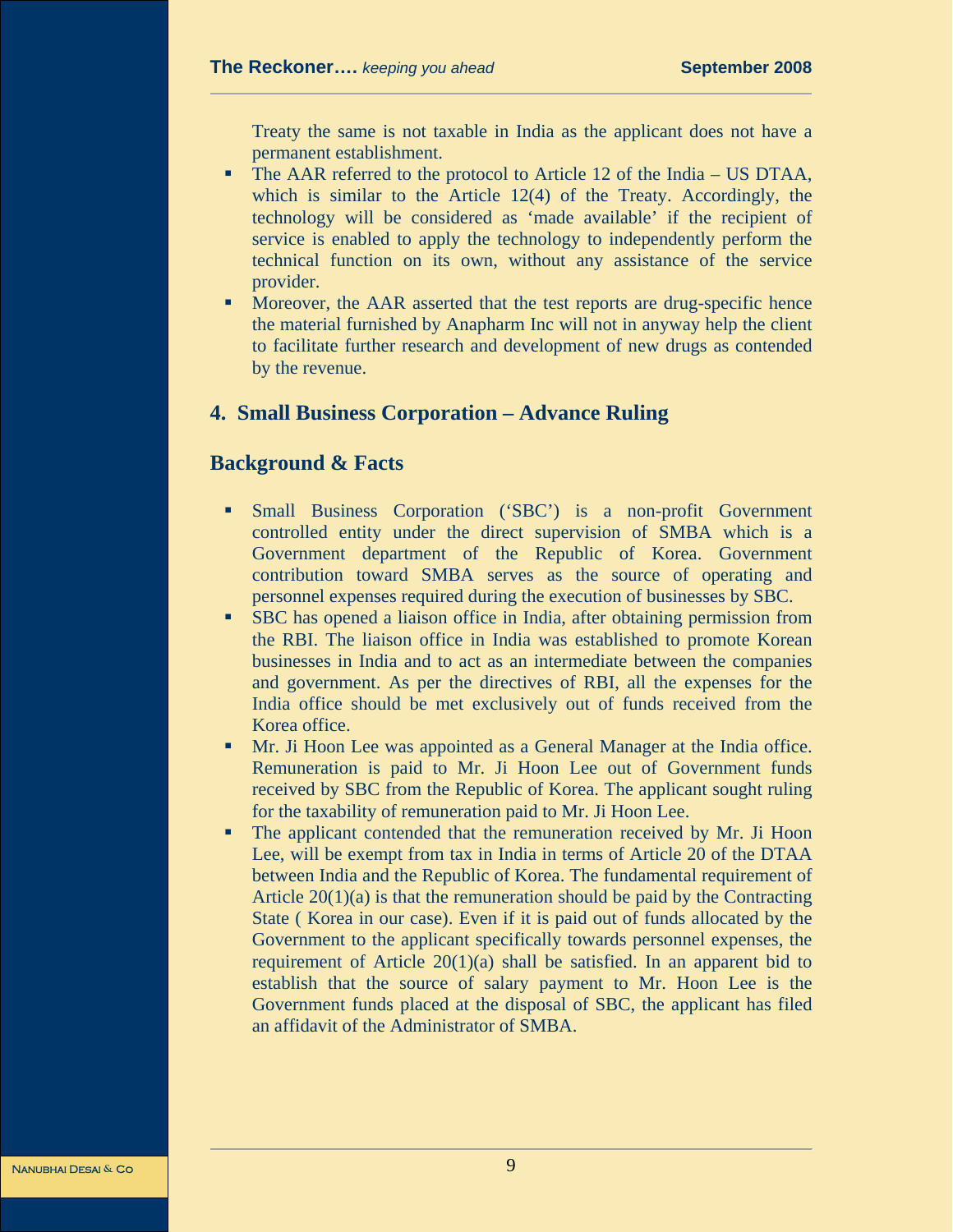Treaty the same is not taxable in India as the applicant does not have a permanent establishment.

- The AAR referred to the protocol to Article 12 of the India US DTAA, which is similar to the Article 12(4) of the Treaty. Accordingly, the technology will be considered as 'made available' if the recipient of service is enabled to apply the technology to independently perform the technical function on its own, without any assistance of the service provider.
- **Moreover, the AAR asserted that the test reports are drug-specific hence** the material furnished by Anapharm Inc will not in anyway help the client to facilitate further research and development of new drugs as contended by the revenue.

# **4. Small Business Corporation – Advance Ruling**

#### **Background & Facts**

- Small Business Corporation ('SBC') is a non-profit Government controlled entity under the direct supervision of SMBA which is a Government department of the Republic of Korea. Government contribution toward SMBA serves as the source of operating and personnel expenses required during the execution of businesses by SBC.
- SBC has opened a liaison office in India, after obtaining permission from the RBI. The liaison office in India was established to promote Korean businesses in India and to act as an intermediate between the companies and government. As per the directives of RBI, all the expenses for the India office should be met exclusively out of funds received from the Korea office.
- Mr. Ji Hoon Lee was appointed as a General Manager at the India office. Remuneration is paid to Mr. Ji Hoon Lee out of Government funds received by SBC from the Republic of Korea. The applicant sought ruling for the taxability of remuneration paid to Mr. Ji Hoon Lee.
- The applicant contended that the remuneration received by Mr. Ji Hoon Lee, will be exempt from tax in India in terms of Article 20 of the DTAA between India and the Republic of Korea. The fundamental requirement of Article  $20(1)(a)$  is that the remuneration should be paid by the Contracting State ( Korea in our case). Even if it is paid out of funds allocated by the Government to the applicant specifically towards personnel expenses, the requirement of Article 20(1)(a) shall be satisfied. In an apparent bid to establish that the source of salary payment to Mr. Hoon Lee is the Government funds placed at the disposal of SBC, the applicant has filed an affidavit of the Administrator of SMBA.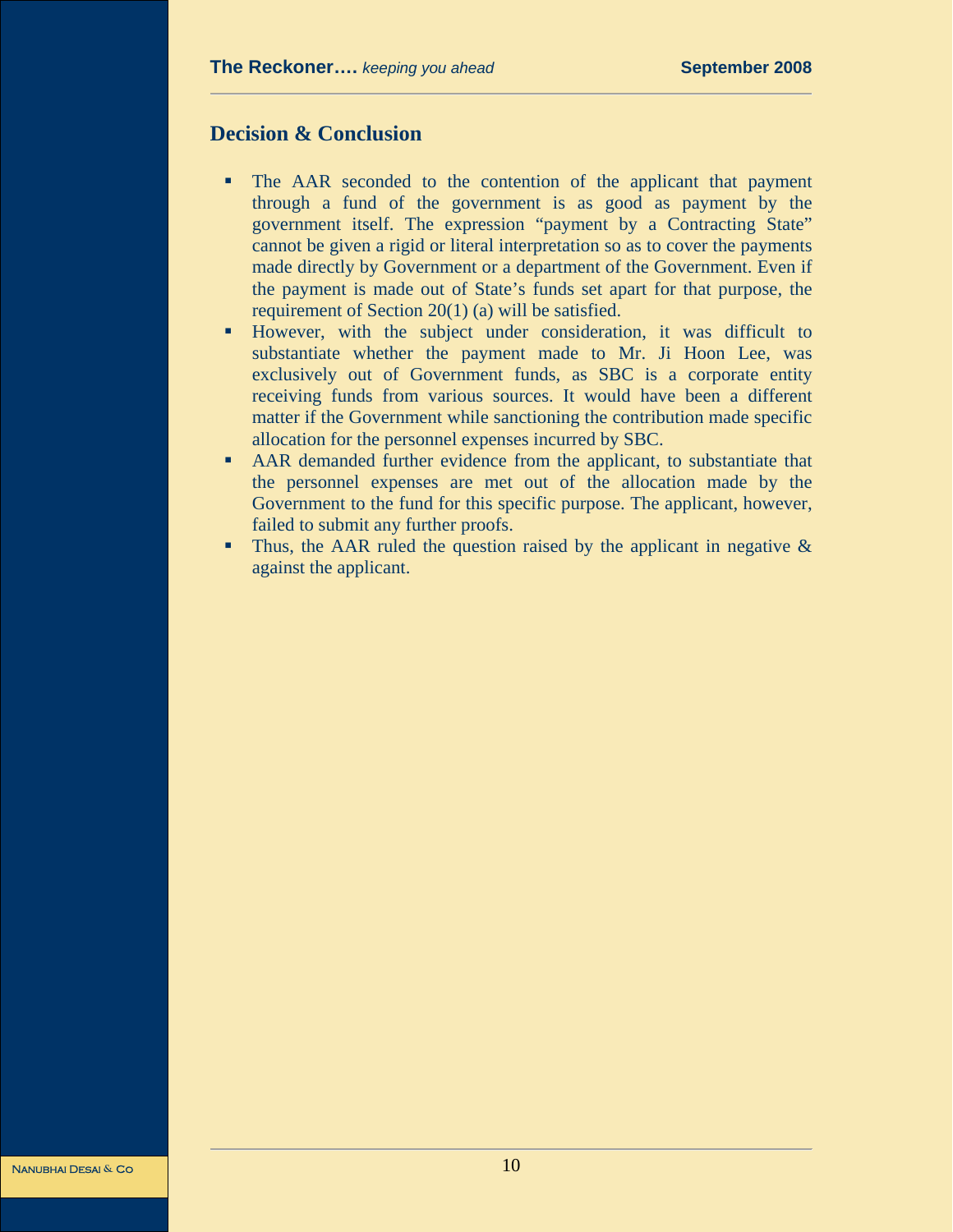#### **Decision & Conclusion**

- The AAR seconded to the contention of the applicant that payment through a fund of the government is as good as payment by the government itself. The expression "payment by a Contracting State" cannot be given a rigid or literal interpretation so as to cover the payments made directly by Government or a department of the Government. Even if the payment is made out of State's funds set apart for that purpose, the requirement of Section 20(1) (a) will be satisfied.
- However, with the subject under consideration, it was difficult to substantiate whether the payment made to Mr. Ji Hoon Lee, was exclusively out of Government funds, as SBC is a corporate entity receiving funds from various sources. It would have been a different matter if the Government while sanctioning the contribution made specific allocation for the personnel expenses incurred by SBC.
- AAR demanded further evidence from the applicant, to substantiate that the personnel expenses are met out of the allocation made by the Government to the fund for this specific purpose. The applicant, however, failed to submit any further proofs.
- Thus, the AAR ruled the question raised by the applicant in negative  $\&$ against the applicant.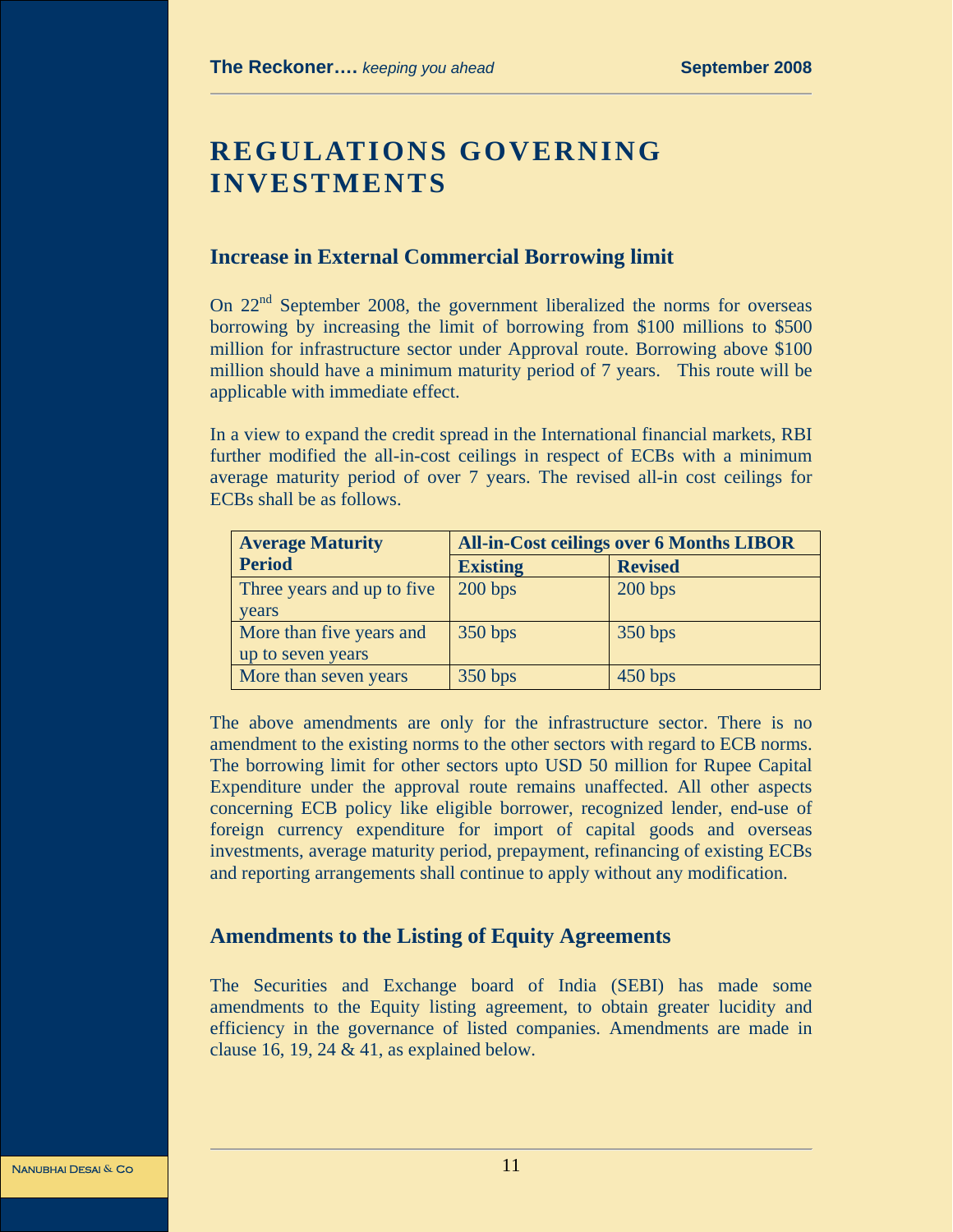# **REGULATIONS GOVERNING INVESTMENTS**

#### **Increase in External Commercial Borrowing limit**

On 22<sup>nd</sup> September 2008, the government liberalized the norms for overseas borrowing by increasing the limit of borrowing from \$100 millions to \$500 million for infrastructure sector under Approval route. Borrowing above \$100 million should have a minimum maturity period of 7 years. This route will be applicable with immediate effect.

In a view to expand the credit spread in the International financial markets, RBI further modified the all-in-cost ceilings in respect of ECBs with a minimum average maturity period of over 7 years. The revised all-in cost ceilings for ECBs shall be as follows.

| <b>Average Maturity</b>    | <b>All-in-Cost ceilings over 6 Months LIBOR</b> |                |
|----------------------------|-------------------------------------------------|----------------|
| <b>Period</b>              | <b>Existing</b>                                 | <b>Revised</b> |
| Three years and up to five | 200 bps                                         | 200 bps        |
| years                      |                                                 |                |
| More than five years and   | 350 bps                                         | 350 bps        |
| up to seven years          |                                                 |                |
| More than seven years      | 350 bps                                         | 450 bps        |

The above amendments are only for the infrastructure sector. There is no amendment to the existing norms to the other sectors with regard to ECB norms. The borrowing limit for other sectors upto USD 50 million for Rupee Capital Expenditure under the approval route remains unaffected. All other aspects concerning ECB policy like eligible borrower, recognized lender, end-use of foreign currency expenditure for import of capital goods and overseas investments, average maturity period, prepayment, refinancing of existing ECBs and reporting arrangements shall continue to apply without any modification.

## **Amendments to the Listing of Equity Agreements**

The Securities and Exchange board of India (SEBI) has made some amendments to the Equity listing agreement, to obtain greater lucidity and efficiency in the governance of listed companies. Amendments are made in clause 16, 19, 24  $&$  41, as explained below.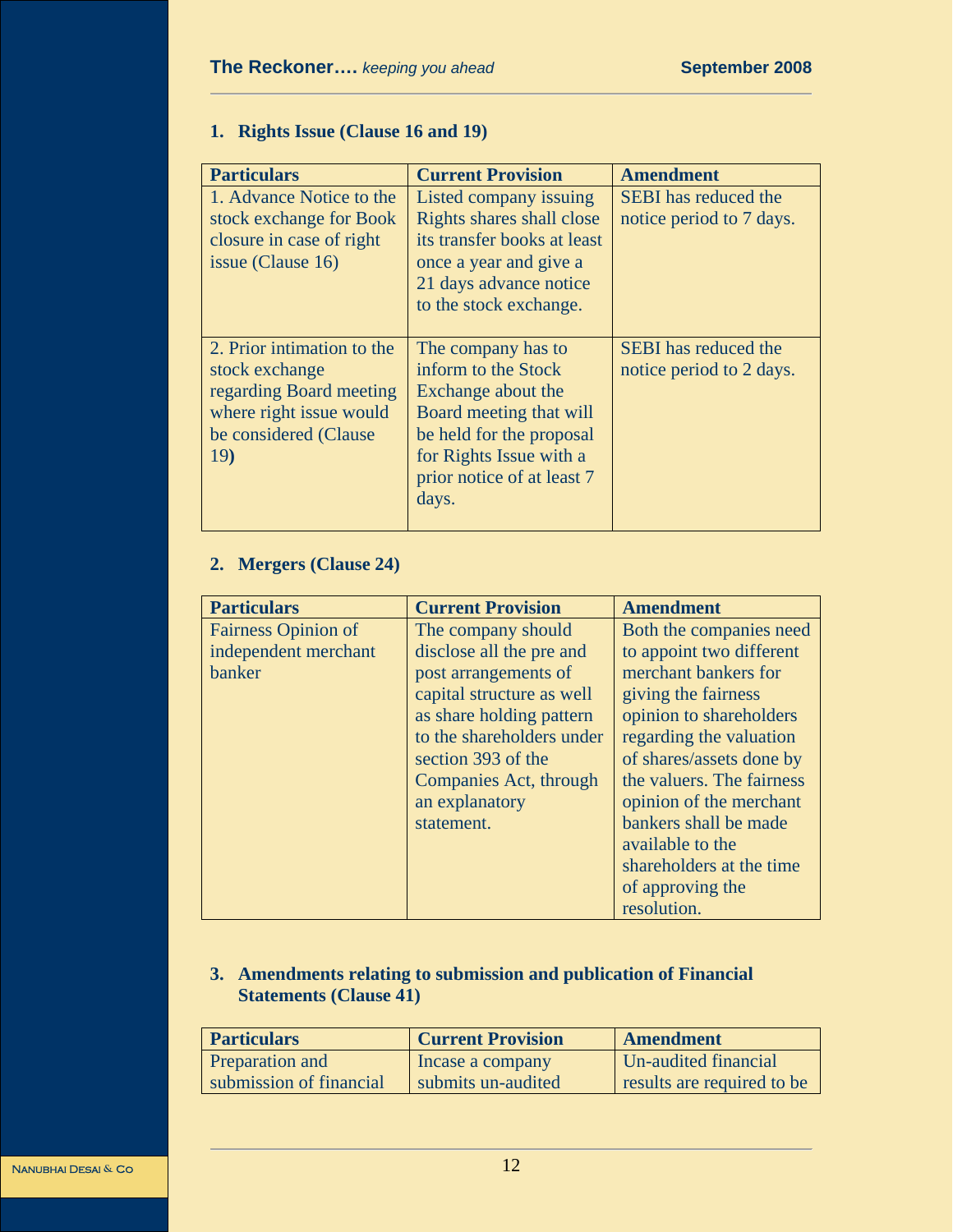# **1. Rights Issue (Clause 16 and 19)**

| <b>Particulars</b>                                                                                                                  | <b>Current Provision</b>                                                                                                                                                                 | <b>Amendment</b>                                        |
|-------------------------------------------------------------------------------------------------------------------------------------|------------------------------------------------------------------------------------------------------------------------------------------------------------------------------------------|---------------------------------------------------------|
| 1. Advance Notice to the<br>stock exchange for Book<br>closure in case of right<br>issue (Clause 16)                                | Listed company issuing<br>Rights shares shall close<br>its transfer books at least<br>once a year and give a<br>21 days advance notice<br>to the stock exchange.                         | <b>SEBI</b> has reduced the<br>notice period to 7 days. |
| 2. Prior intimation to the<br>stock exchange<br>regarding Board meeting<br>where right issue would<br>be considered (Clause)<br>19) | The company has to<br>inform to the Stock<br>Exchange about the<br>Board meeting that will<br>be held for the proposal<br>for Rights Issue with a<br>prior notice of at least 7<br>days. | <b>SEBI</b> has reduced the<br>notice period to 2 days. |

# **2. Mergers (Clause 24)**

| <b>Particulars</b>         | <b>Current Provision</b>  | Amendment                 |
|----------------------------|---------------------------|---------------------------|
| <b>Fairness Opinion of</b> | The company should        | Both the companies need   |
| independent merchant       | disclose all the pre and  | to appoint two different  |
| <b>banker</b>              | post arrangements of      | merchant bankers for      |
|                            | capital structure as well | giving the fairness       |
|                            | as share holding pattern  | opinion to shareholders   |
|                            | to the shareholders under | regarding the valuation   |
|                            | section 393 of the        | of shares/assets done by  |
|                            | Companies Act, through    | the valuers. The fairness |
|                            | an explanatory            | opinion of the merchant   |
|                            | statement.                | bankers shall be made     |
|                            |                           | available to the          |
|                            |                           | shareholders at the time  |
|                            |                           | of approving the          |
|                            |                           | resolution.               |

# **3. Amendments relating to submission and publication of Financial Statements (Clause 41)**

| <b>Particulars</b>      | <b>Current Provision</b> | Amendment                  |
|-------------------------|--------------------------|----------------------------|
| <b>Preparation and</b>  | Incase a company         | Un-audited financial       |
| submission of financial | submits un-audited       | results are required to be |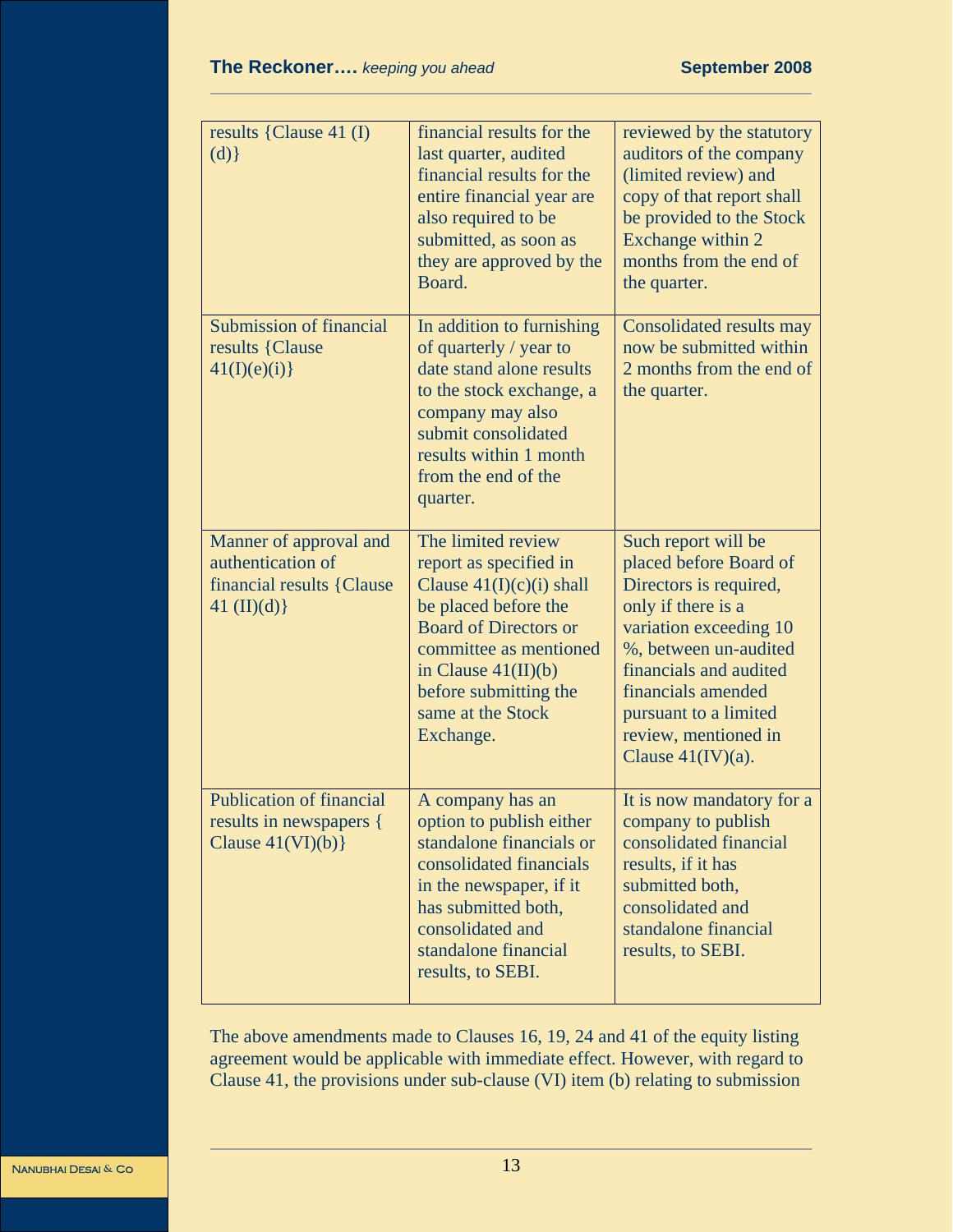| results {Clause 41 $(I)$<br>(d)                                                           | financial results for the<br>last quarter, audited<br>financial results for the<br>entire financial year are<br>also required to be<br>submitted, as soon as<br>they are approved by the<br>Board.                                               | reviewed by the statutory<br>auditors of the company<br>(limited review) and<br>copy of that report shall<br>be provided to the Stock<br>Exchange within 2<br>months from the end of<br>the quarter.                                                                      |
|-------------------------------------------------------------------------------------------|--------------------------------------------------------------------------------------------------------------------------------------------------------------------------------------------------------------------------------------------------|---------------------------------------------------------------------------------------------------------------------------------------------------------------------------------------------------------------------------------------------------------------------------|
| Submission of financial<br>results {Clause<br>41(I)(e)(i)                                 | In addition to furnishing<br>of quarterly / year to<br>date stand alone results<br>to the stock exchange, a<br>company may also<br>submit consolidated<br>results within 1 month<br>from the end of the<br>quarter.                              | Consolidated results may<br>now be submitted within<br>2 months from the end of<br>the quarter.                                                                                                                                                                           |
| Manner of approval and<br>authentication of<br>financial results {Clause}<br>41 (II)(d) } | The limited review<br>report as specified in<br>Clause $41(I)(c)(i)$ shall<br>be placed before the<br><b>Board of Directors or</b><br>committee as mentioned<br>in Clause $41(II)(b)$<br>before submitting the<br>same at the Stock<br>Exchange. | Such report will be<br>placed before Board of<br>Directors is required,<br>only if there is a<br>variation exceeding 10<br>%, between un-audited<br>financials and audited<br>financials amended<br>pursuant to a limited<br>review, mentioned in<br>Clause $41$ (IV)(a). |
| <b>Publication of financial</b><br>results in newspapers {<br>Clause $41(VI)(b)$          | A company has an<br>option to publish either<br>standalone financials or<br>consolidated financials<br>in the newspaper, if it<br>has submitted both,<br>consolidated and<br>standalone financial<br>results, to SEBI.                           | It is now mandatory for a<br>company to publish<br>consolidated financial<br>results, if it has<br>submitted both,<br>consolidated and<br>standalone financial<br>results, to SEBI.                                                                                       |

The above amendments made to Clauses 16, 19, 24 and 41 of the equity listing agreement would be applicable with immediate effect. However, with regard to Clause 41, the provisions under sub-clause (VI) item (b) relating to submission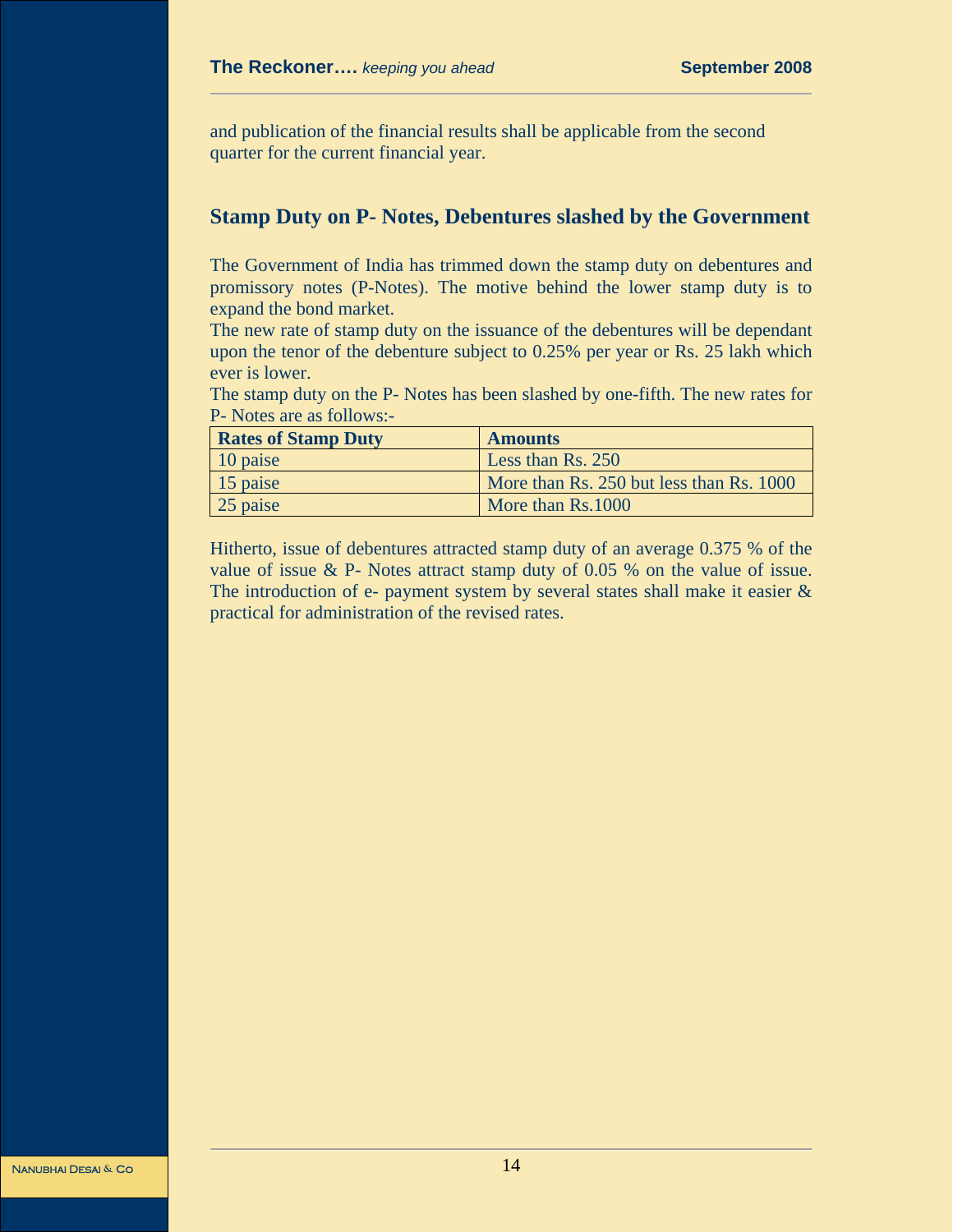and publication of the financial results shall be applicable from the second quarter for the current financial year.

## **Stamp Duty on P- Notes, Debentures slashed by the Government**

The Government of India has trimmed down the stamp duty on debentures and promissory notes (P-Notes). The motive behind the lower stamp duty is to expand the bond market.

The new rate of stamp duty on the issuance of the debentures will be dependant upon the tenor of the debenture subject to 0.25% per year or Rs. 25 lakh which ever is lower.

The stamp duty on the P- Notes has been slashed by one-fifth. The new rates for P- Notes are as follows:-

| <b>Rates of Stamp Duty</b> | <b>Amounts</b>                           |
|----------------------------|------------------------------------------|
| $\vert$ 10 paise           | Less than Rs. 250                        |
| $\vert$ 15 paise           | More than Rs. 250 but less than Rs. 1000 |
| 25 paise                   | More than Rs.1000                        |

Hitherto, issue of debentures attracted stamp duty of an average 0.375 % of the value of issue & P- Notes attract stamp duty of 0.05 % on the value of issue. The introduction of e- payment system by several states shall make it easier & practical for administration of the revised rates.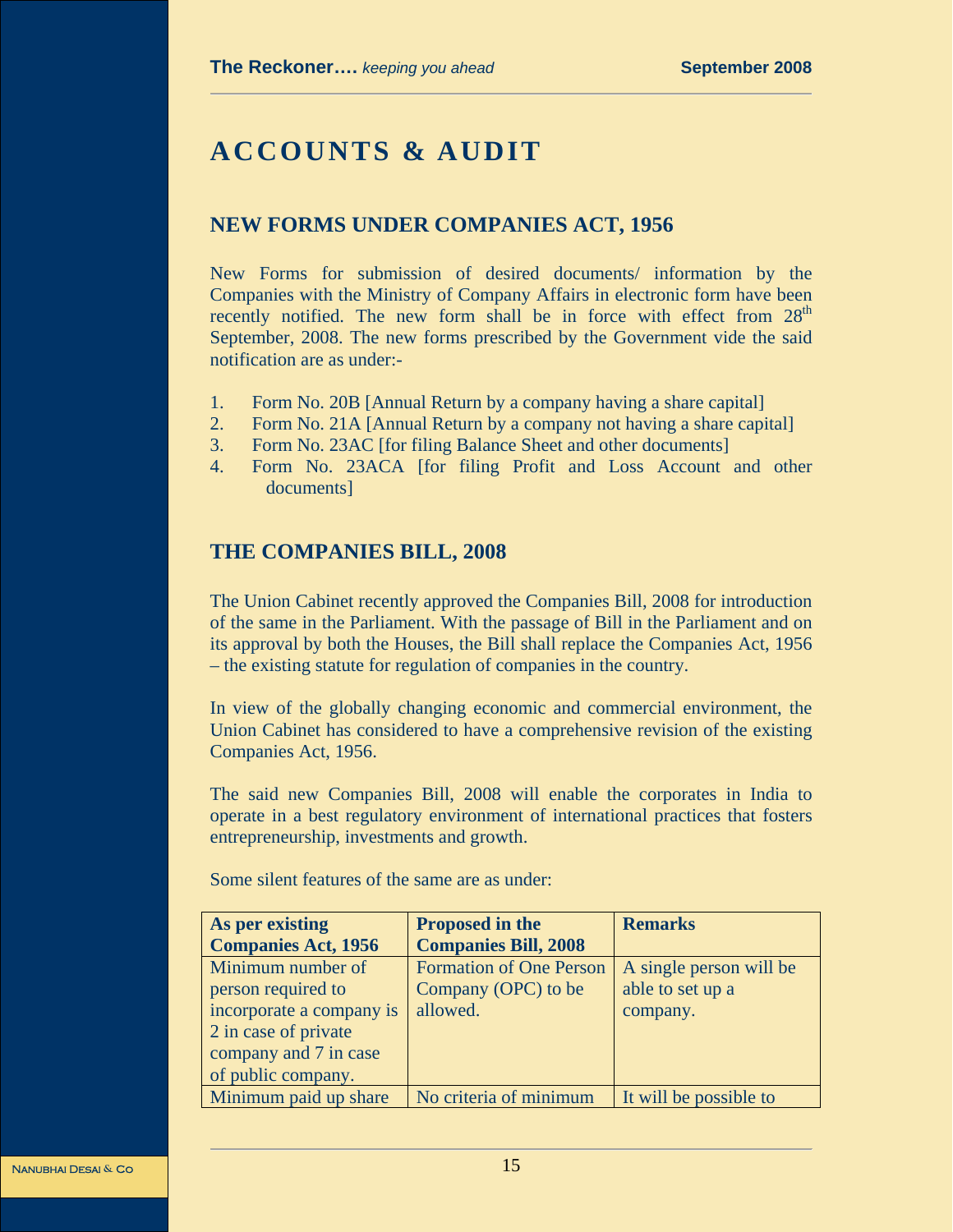# **ACCOUNTS & AUDIT**

# **NEW FORMS UNDER COMPANIES ACT, 1956**

New Forms for submission of desired documents/ information by the Companies with the Ministry of Company Affairs in electronic form have been recently notified. The new form shall be in force with effect from  $28<sup>th</sup>$ September, 2008. The new forms prescribed by the Government vide the said notification are as under:-

- 1. Form No. 20B [Annual Return by a company having a share capital]
- 2. Form No. 21A [Annual Return by a company not having a share capital]
- 3. Form No. 23AC [for filing Balance Sheet and other documents]
- 4. Form No. 23ACA [for filing Profit and Loss Account and other documents]

# **THE COMPANIES BILL, 2008**

The Union Cabinet recently approved the Companies Bill, 2008 for introduction of the same in the Parliament. With the passage of Bill in the Parliament and on its approval by both the Houses, the Bill shall replace the Companies Act, 1956 – the existing statute for regulation of companies in the country.

In view of the globally changing economic and commercial environment, the Union Cabinet has considered to have a comprehensive revision of the existing Companies Act, 1956.

The said new Companies Bill, 2008 will enable the corporates in India to operate in a best regulatory environment of international practices that fosters entrepreneurship, investments and growth.

| As per existing            | <b>Proposed in the</b>         | <b>Remarks</b>          |
|----------------------------|--------------------------------|-------------------------|
| <b>Companies Act, 1956</b> | <b>Companies Bill, 2008</b>    |                         |
| Minimum number of          | <b>Formation of One Person</b> | A single person will be |
| person required to         | Company (OPC) to be            | able to set up a        |
| incorporate a company is   | allowed.                       | company.                |
| 2 in case of private       |                                |                         |
| company and 7 in case      |                                |                         |
| of public company.         |                                |                         |
| Minimum paid up share      | No criteria of minimum         | It will be possible to  |

Some silent features of the same are as under: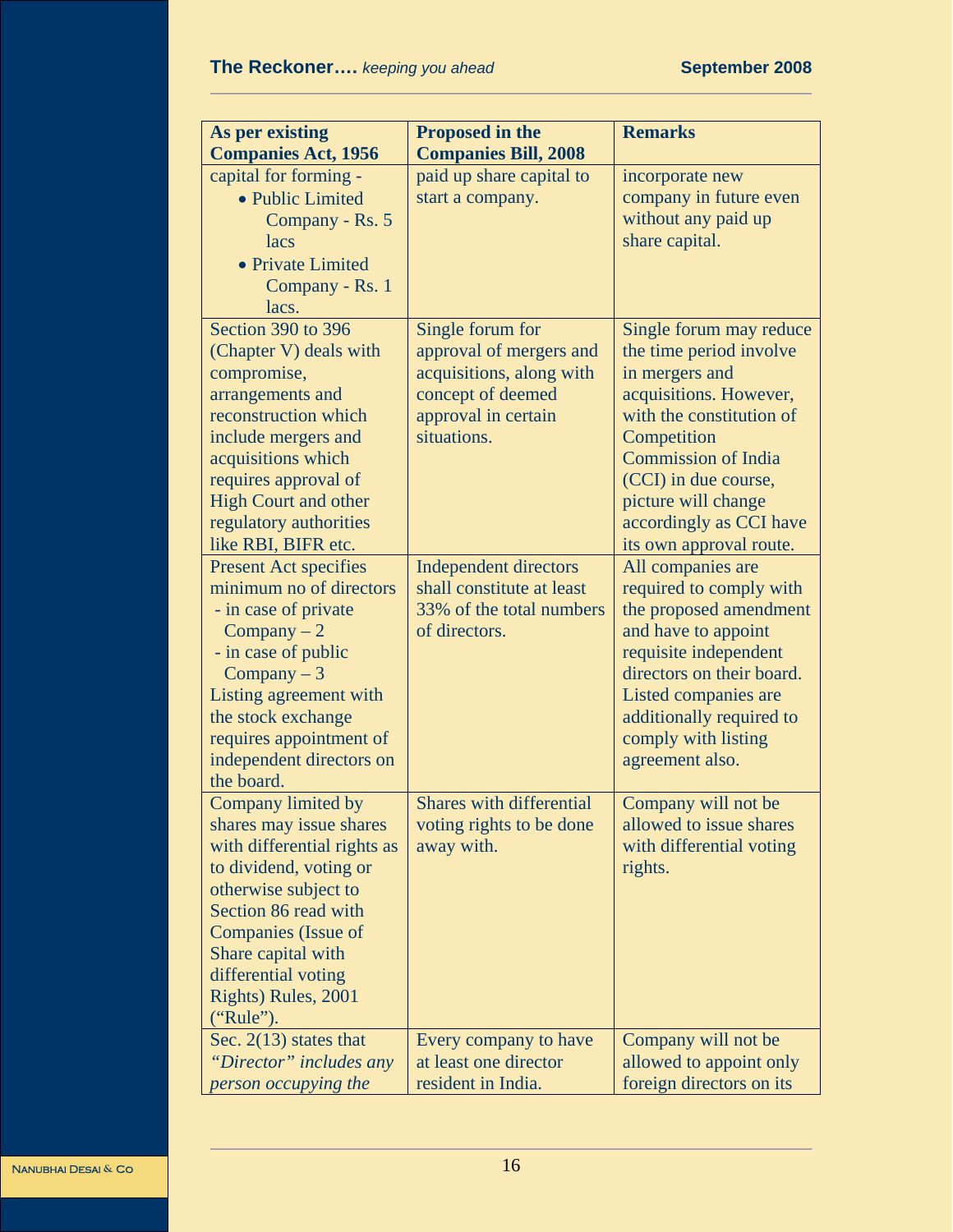| As per existing<br><b>Companies Act, 1956</b>                                                                                                                                                                                                                  | <b>Proposed in the</b><br><b>Companies Bill, 2008</b>                                                                              | <b>Remarks</b>                                                                                                                                                                                                                                                               |
|----------------------------------------------------------------------------------------------------------------------------------------------------------------------------------------------------------------------------------------------------------------|------------------------------------------------------------------------------------------------------------------------------------|------------------------------------------------------------------------------------------------------------------------------------------------------------------------------------------------------------------------------------------------------------------------------|
| capital for forming -<br>• Public Limited<br>Company - Rs. 5<br>lacs<br>• Private Limited<br>Company - Rs. 1<br>lacs.                                                                                                                                          | paid up share capital to<br>start a company.                                                                                       | incorporate new<br>company in future even<br>without any paid up<br>share capital.                                                                                                                                                                                           |
| Section 390 to 396<br>(Chapter V) deals with<br>compromise,<br>arrangements and<br>reconstruction which<br>include mergers and<br>acquisitions which<br>requires approval of<br><b>High Court and other</b><br>regulatory authorities<br>like RBI, BIFR etc.   | Single forum for<br>approval of mergers and<br>acquisitions, along with<br>concept of deemed<br>approval in certain<br>situations. | Single forum may reduce<br>the time period involve<br>in mergers and<br>acquisitions. However,<br>with the constitution of<br>Competition<br><b>Commission of India</b><br>(CCI) in due course,<br>picture will change<br>accordingly as CCI have<br>its own approval route. |
| <b>Present Act specifies</b><br>minimum no of directors<br>- in case of private<br>$Company - 2$<br>- in case of public<br>Company $-3$<br>Listing agreement with<br>the stock exchange<br>requires appointment of<br>independent directors on<br>the board.   | <b>Independent directors</b><br>shall constitute at least<br>33% of the total numbers<br>of directors.                             | All companies are<br>required to comply with<br>the proposed amendment<br>and have to appoint<br>requisite independent<br>directors on their board.<br>Listed companies are<br>additionally required to<br>comply with listing<br>agreement also.                            |
| Company limited by<br>shares may issue shares<br>with differential rights as<br>to dividend, voting or<br>otherwise subject to<br>Section 86 read with<br>Companies (Issue of<br>Share capital with<br>differential voting<br>Rights) Rules, 2001<br>("Rule"). | <b>Shares with differential</b><br>voting rights to be done<br>away with.                                                          | Company will not be<br>allowed to issue shares<br>with differential voting<br>rights.                                                                                                                                                                                        |
| Sec. $2(13)$ states that<br>"Director" includes any<br>person occupying the                                                                                                                                                                                    | Every company to have<br>at least one director<br>resident in India.                                                               | Company will not be<br>allowed to appoint only<br>foreign directors on its                                                                                                                                                                                                   |